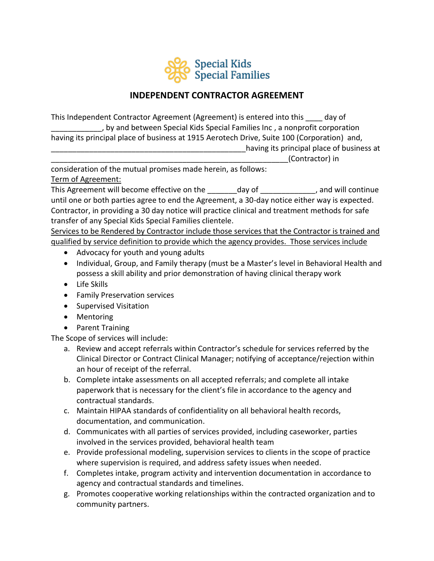

# **INDEPENDENT CONTRACTOR AGREEMENT**

This Independent Contractor Agreement (Agreement) is entered into this \_\_\_\_ day of \_\_\_\_\_\_\_\_\_\_\_\_, by and between Special Kids Special Families Inc , a nonprofit corporation having its principal place of business at 1915 Aerotech Drive, Suite 100 (Corporation) and, having its principal place of business at \_\_\_\_\_\_\_\_\_\_\_\_\_\_\_\_\_\_\_\_\_\_\_\_\_\_\_\_\_\_\_\_\_\_\_\_\_\_\_\_\_\_\_\_\_\_\_\_\_\_\_\_\_\_\_\_(Contractor) in

consideration of the mutual promises made herein, as follows:

Term of Agreement:

This Agreement will become effective on the day of the cannot continue and will continue until one or both parties agree to end the Agreement, a 30-day notice either way is expected. Contractor, in providing a 30 day notice will practice clinical and treatment methods for safe transfer of any Special Kids Special Families clientele.

Services to be Rendered by Contractor include those services that the Contractor is trained and qualified by service definition to provide which the agency provides. Those services include

- Advocacy for youth and young adults
- Individual, Group, and Family therapy (must be a Master's level in Behavioral Health and possess a skill ability and prior demonstration of having clinical therapy work
- Life Skills
- Family Preservation services
- Supervised Visitation
- Mentoring
- Parent Training

The Scope of services will include:

- a. Review and accept referrals within Contractor's schedule for services referred by the Clinical Director or Contract Clinical Manager; notifying of acceptance/rejection within an hour of receipt of the referral.
- b. Complete intake assessments on all accepted referrals; and complete all intake paperwork that is necessary for the client's file in accordance to the agency and contractual standards.
- c. Maintain HIPAA standards of confidentiality on all behavioral health records, documentation, and communication.
- d. Communicates with all parties of services provided, including caseworker, parties involved in the services provided, behavioral health team
- e. Provide professional modeling, supervision services to clients in the scope of practice where supervision is required, and address safety issues when needed.
- f. Completes intake, program activity and intervention documentation in accordance to agency and contractual standards and timelines.
- g. Promotes cooperative working relationships within the contracted organization and to community partners.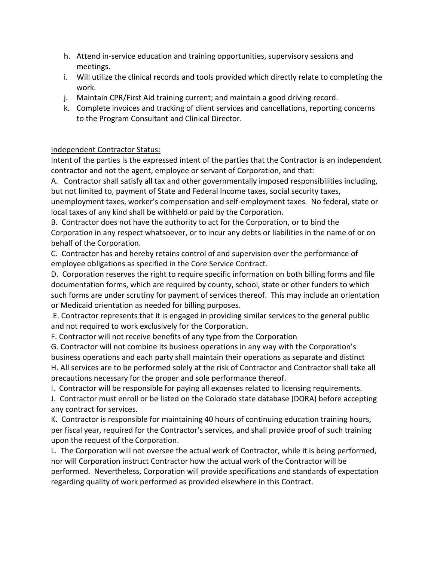- h. Attend in-service education and training opportunities, supervisory sessions and meetings.
- i. Will utilize the clinical records and tools provided which directly relate to completing the work.
- j. Maintain CPR/First Aid training current; and maintain a good driving record.
- k. Complete invoices and tracking of client services and cancellations, reporting concerns to the Program Consultant and Clinical Director.

#### Independent Contractor Status:

Intent of the parties is the expressed intent of the parties that the Contractor is an independent contractor and not the agent, employee or servant of Corporation, and that:

A. Contractor shall satisfy all tax and other governmentally imposed responsibilities including, but not limited to, payment of State and Federal Income taxes, social security taxes, unemployment taxes, worker's compensation and self-employment taxes. No federal, state or

local taxes of any kind shall be withheld or paid by the Corporation.

B. Contractor does not have the authority to act for the Corporation, or to bind the Corporation in any respect whatsoever, or to incur any debts or liabilities in the name of or on behalf of the Corporation.

C. Contractor has and hereby retains control of and supervision over the performance of employee obligations as specified in the Core Service Contract.

D. Corporation reserves the right to require specific information on both billing forms and file documentation forms, which are required by county, school, state or other funders to which such forms are under scrutiny for payment of services thereof. This may include an orientation or Medicaid orientation as needed for billing purposes.

E. Contractor represents that it is engaged in providing similar services to the general public and not required to work exclusively for the Corporation.

F. Contractor will not receive benefits of any type from the Corporation

G. Contractor will not combine its business operations in any way with the Corporation's business operations and each party shall maintain their operations as separate and distinct H. All services are to be performed solely at the risk of Contractor and Contractor shall take all precautions necessary for the proper and sole performance thereof.

I. Contractor will be responsible for paying all expenses related to licensing requirements.

J. Contractor must enroll or be listed on the Colorado state database (DORA) before accepting any contract for services.

K. Contractor is responsible for maintaining 40 hours of continuing education training hours, per fiscal year, required for the Contractor's services, and shall provide proof of such training upon the request of the Corporation.

L. The Corporation will not oversee the actual work of Contractor, while it is being performed, nor will Corporation instruct Contractor how the actual work of the Contractor will be performed. Nevertheless, Corporation will provide specifications and standards of expectation regarding quality of work performed as provided elsewhere in this Contract.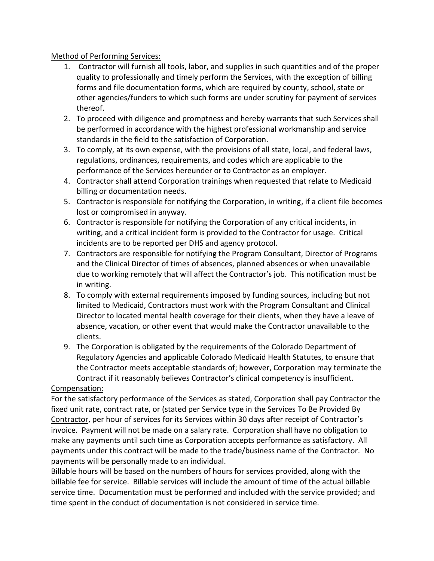#### Method of Performing Services:

- 1. Contractor will furnish all tools, labor, and supplies in such quantities and of the proper quality to professionally and timely perform the Services, with the exception of billing forms and file documentation forms, which are required by county, school, state or other agencies/funders to which such forms are under scrutiny for payment of services thereof.
- 2. To proceed with diligence and promptness and hereby warrants that such Services shall be performed in accordance with the highest professional workmanship and service standards in the field to the satisfaction of Corporation.
- 3. To comply, at its own expense, with the provisions of all state, local, and federal laws, regulations, ordinances, requirements, and codes which are applicable to the performance of the Services hereunder or to Contractor as an employer.
- 4. Contractor shall attend Corporation trainings when requested that relate to Medicaid billing or documentation needs.
- 5. Contractor is responsible for notifying the Corporation, in writing, if a client file becomes lost or compromised in anyway.
- 6. Contractor is responsible for notifying the Corporation of any critical incidents, in writing, and a critical incident form is provided to the Contractor for usage. Critical incidents are to be reported per DHS and agency protocol.
- 7. Contractors are responsible for notifying the Program Consultant, Director of Programs and the Clinical Director of times of absences, planned absences or when unavailable due to working remotely that will affect the Contractor's job. This notification must be in writing.
- 8. To comply with external requirements imposed by funding sources, including but not limited to Medicaid, Contractors must work with the Program Consultant and Clinical Director to located mental health coverage for their clients, when they have a leave of absence, vacation, or other event that would make the Contractor unavailable to the clients.
- 9. The Corporation is obligated by the requirements of the Colorado Department of Regulatory Agencies and applicable Colorado Medicaid Health Statutes, to ensure that the Contractor meets acceptable standards of; however, Corporation may terminate the Contract if it reasonably believes Contractor's clinical competency is insufficient.

#### Compensation:

For the satisfactory performance of the Services as stated, Corporation shall pay Contractor the fixed unit rate, contract rate, or (stated per Service type in the Services To Be Provided By Contractor, per hour of services for its Services within 30 days after receipt of Contractor's invoice. Payment will not be made on a salary rate. Corporation shall have no obligation to make any payments until such time as Corporation accepts performance as satisfactory. All payments under this contract will be made to the trade/business name of the Contractor. No payments will be personally made to an individual.

Billable hours will be based on the numbers of hours for services provided, along with the billable fee for service. Billable services will include the amount of time of the actual billable service time. Documentation must be performed and included with the service provided; and time spent in the conduct of documentation is not considered in service time.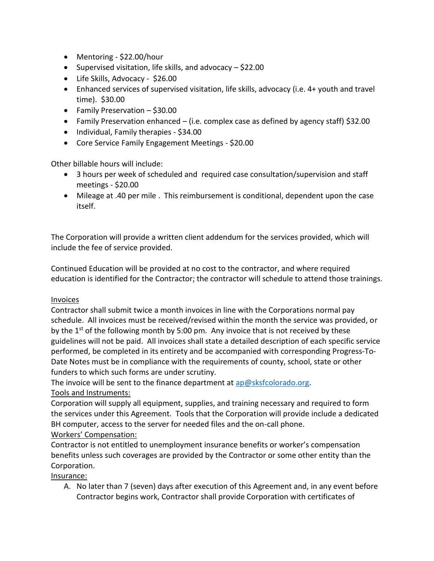- Mentoring \$22.00/hour
- Supervised visitation, life skills, and advocacy \$22.00
- Life Skills, Advocacy \$26.00
- Enhanced services of supervised visitation, life skills, advocacy (i.e. 4+ youth and travel time). \$30.00
- Family Preservation \$30.00
- Family Preservation enhanced (i.e. complex case as defined by agency staff)  $$32.00$
- Individual, Family therapies \$34.00
- Core Service Family Engagement Meetings \$20.00

Other billable hours will include:

- 3 hours per week of scheduled and required case consultation/supervision and staff meetings - \$20.00
- Mileage at .40 per mile . This reimbursement is conditional, dependent upon the case itself.

The Corporation will provide a written client addendum for the services provided, which will include the fee of service provided.

Continued Education will be provided at no cost to the contractor, and where required education is identified for the Contractor; the contractor will schedule to attend those trainings.

#### Invoices

Contractor shall submit twice a month invoices in line with the Corporations normal pay schedule. All invoices must be received/revised within the month the service was provided, or by the 1<sup>st</sup> of the following month by 5:00 pm. Any invoice that is not received by these guidelines will not be paid. All invoices shall state a detailed description of each specific service performed, be completed in its entirety and be accompanied with corresponding Progress-To-Date Notes must be in compliance with the requirements of county, school, state or other funders to which such forms are under scrutiny.

The invoice will be sent to the finance department at  $ap@sksfcolorado.org$ .

# Tools and Instruments:

Corporation will supply all equipment, supplies, and training necessary and required to form the services under this Agreement. Tools that the Corporation will provide include a dedicated BH computer, access to the server for needed files and the on-call phone.

# Workers' Compensation:

Contractor is not entitled to unemployment insurance benefits or worker's compensation benefits unless such coverages are provided by the Contractor or some other entity than the Corporation.

Insurance:

A. No later than 7 (seven) days after execution of this Agreement and, in any event before Contractor begins work, Contractor shall provide Corporation with certificates of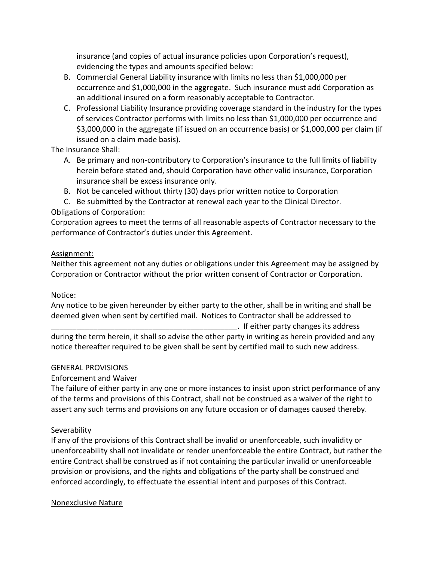insurance (and copies of actual insurance policies upon Corporation's request), evidencing the types and amounts specified below:

- B. Commercial General Liability insurance with limits no less than \$1,000,000 per occurrence and \$1,000,000 in the aggregate. Such insurance must add Corporation as an additional insured on a form reasonably acceptable to Contractor.
- C. Professional Liability Insurance providing coverage standard in the industry for the types of services Contractor performs with limits no less than \$1,000,000 per occurrence and \$3,000,000 in the aggregate (if issued on an occurrence basis) or \$1,000,000 per claim (if issued on a claim made basis).

### The Insurance Shall:

- A. Be primary and non-contributory to Corporation's insurance to the full limits of liability herein before stated and, should Corporation have other valid insurance, Corporation insurance shall be excess insurance only.
- B. Not be canceled without thirty (30) days prior written notice to Corporation
- C. Be submitted by the Contractor at renewal each year to the Clinical Director.

# Obligations of Corporation:

Corporation agrees to meet the terms of all reasonable aspects of Contractor necessary to the performance of Contractor's duties under this Agreement.

### Assignment:

Neither this agreement not any duties or obligations under this Agreement may be assigned by Corporation or Contractor without the prior written consent of Contractor or Corporation.

# Notice:

Any notice to be given hereunder by either party to the other, shall be in writing and shall be deemed given when sent by certified mail. Notices to Contractor shall be addressed to

\_\_\_\_\_\_\_\_\_\_\_\_\_\_\_\_\_\_\_\_\_\_\_\_\_\_\_\_\_\_\_\_\_\_\_\_\_\_\_\_\_\_\_\_. If either party changes its address during the term herein, it shall so advise the other party in writing as herein provided and any notice thereafter required to be given shall be sent by certified mail to such new address.

# GENERAL PROVISIONS

# Enforcement and Waiver

The failure of either party in any one or more instances to insist upon strict performance of any of the terms and provisions of this Contract, shall not be construed as a waiver of the right to assert any such terms and provisions on any future occasion or of damages caused thereby.

# **Severability**

If any of the provisions of this Contract shall be invalid or unenforceable, such invalidity or unenforceability shall not invalidate or render unenforceable the entire Contract, but rather the entire Contract shall be construed as if not containing the particular invalid or unenforceable provision or provisions, and the rights and obligations of the party shall be construed and enforced accordingly, to effectuate the essential intent and purposes of this Contract.

# Nonexclusive Nature